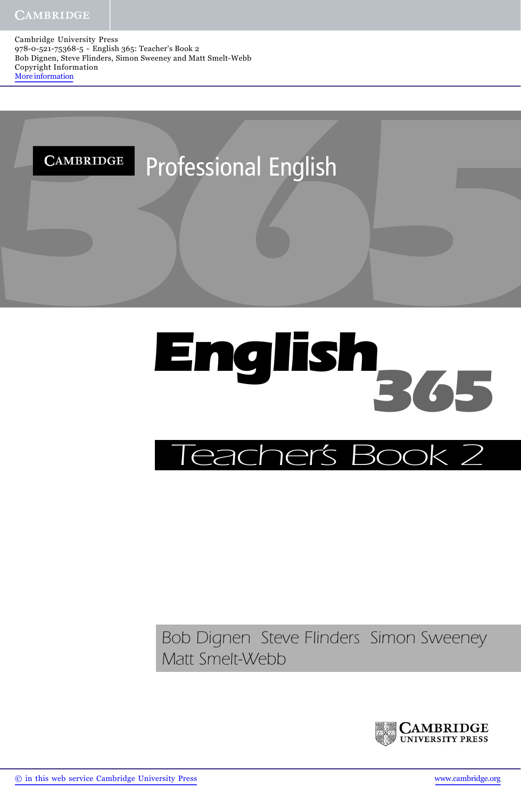Cambridge University Press 978-0-521-75368-5 - English 365: Teacher's Book 2 Bob Dignen, Steve Flinders, Simon Sweeney and Matt Smelt-Webb Copyright Information More information





## *Bob Dignen Steve Flinders Simon Sweeney Matt Smelt-Webb*